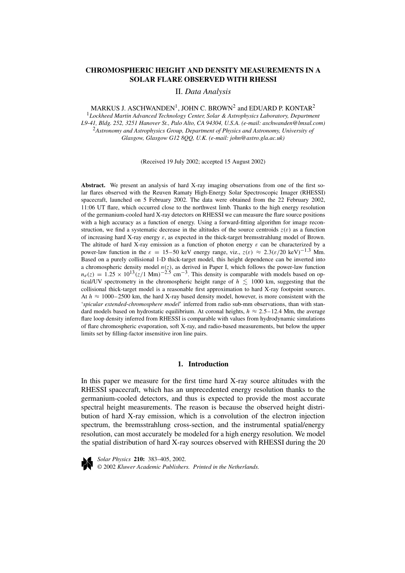# **CHROMOSPHERIC HEIGHT AND DENSITY MEASUREMENTS IN A SOLAR FLARE OBSERVED WITH RHESSI**

II. *Data Analysis*

## MARKUS J. ASCHWANDEN<sup>1</sup>, JOHN C. BROWN<sup>2</sup> and EDUARD P. KONTAR<sup>2</sup>

<sup>1</sup>*Lockheed Martin Advanced Technology Center, Solar & Astrophysics Laboratory, Department L9-41, Bldg. 252, 3251 Hanover St., Palo Alto, CA 94304, U.S.A. (e-mail: aschwanden@lmsal.com)* <sup>2</sup>*Astronomy and Astrophysics Group, Department of Physics and Astronomy, University of Glasgow, Glasgow G12 8QQ, U.K. (e-mail: john@astro.gla.ac.uk)*

(Received 19 July 2002; accepted 15 August 2002)

**Abstract.** We present an analysis of hard X-ray imaging observations from one of the first solar flares observed with the Reuven Ramaty High-Energy Solar Spectroscopic Imager (RHESSI) spacecraft, launched on 5 February 2002. The data were obtained from the 22 February 2002, 11:06 UT flare, which occurred close to the northwest limb. Thanks to the high energy resolution of the germanium-cooled hard X-ray detectors on RHESSI we can measure the flare source positions with a high accuracy as a function of energy. Using a forward-fitting algorithm for image reconstruction, we find a systematic decrease in the altitudes of the source centroids  $z(\varepsilon)$  as a function of increasing hard X-ray energy *ε*, as expected in the thick-target bremsstrahlung model of Brown. The altitude of hard X-ray emission as a function of photon energy  $\varepsilon$  can be characterized by a power-law function in the  $\varepsilon = 15-50$  keV energy range, viz.,  $z(\varepsilon) \approx 2.3(\varepsilon/20 \text{ keV})^{-1.3}$  Mm. Based on a purely collisional 1-D thick-target model, this height dependence can be inverted into a chromospheric density model  $n(z)$ , as derived in Paper I, which follows the power-law function  $n_e(z) = 1.25 \times 10^{13} (z/1 \text{ Mm})^{-2.5} \text{ cm}^{-3}$ . This density is comparable with models based on optical/UV spectrometry in the chromospheric height range of  $h \leq 1000$  km, suggesting that the collisional thick-target model is a reasonable first approximation to hard X-ray footpoint sources. At  $h \approx 1000-2500$  km, the hard X-ray based density model, however, is more consistent with the '*spicular extended-chromosphere model*' inferred from radio sub-mm observations, than with standard models based on hydrostatic equilibrium. At coronal heights,  $h \approx 2.5-12.4$  Mm, the average flare loop density inferred from RHESSI is comparable with values from hydrodynamic simulations of flare chromospheric evaporation, soft X-ray, and radio-based measurements, but below the upper limits set by filling-factor insensitive iron line pairs.

## **1. Introduction**

In this paper we measure for the first time hard X-ray source altitudes with the RHESSI spacecraft, which has an unprecedented energy resolution thanks to the germanium-cooled detectors, and thus is expected to provide the most accurate spectral height measurements. The reason is because the observed height distribution of hard X-ray emission, which is a convolution of the electron injection spectrum, the bremsstrahlung cross-section, and the instrumental spatial/energy resolution, can most accurately be modeled for a high energy resolution. We model the spatial distribution of hard X-ray sources observed with RHESSI during the 20



*Solar Physics* **210:** 383–405, 2002. © 2002 *Kluwer Academic Publishers. Printed in the Netherlands.*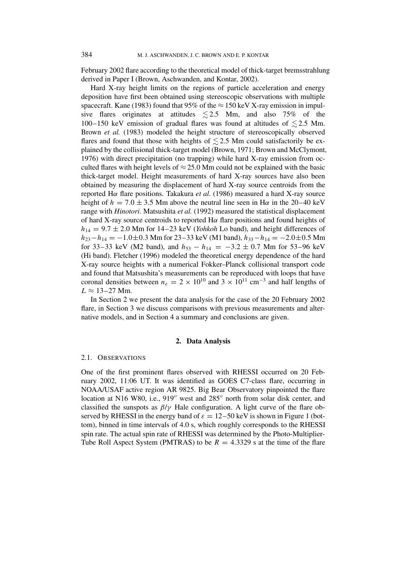February 2002 flare according to the theoretical model of thick-target bremsstrahlung derived in Paper I (Brown, Aschwanden, and Kontar, 2002).

Hard X-ray height limits on the regions of particle acceleration and energy deposition have first been obtained using stereoscopic observations with multiple spacecraft. Kane (1983) found that 95% of the  $\approx$  150 keV X-ray emission in impulsive flares originates at attitudes  $\lesssim$  2.5 Mm, and also 75% of the 100–150 keV emission of gradual flares was found at altitudes of  $\leq 2.5$  Mm. Brown *et al.* (1983) modeled the height structure of stereoscopically observed flares and found that those with heights of  $\lesssim$  2.5 Mm could satisfactorily be explained by the collisional thick-target model (Brown, 1971; Brown and McClymont, 1976) with direct precipitation (no trapping) while hard X-ray emission from occulted flares with height levels of  $\approx$  25.0 Mm could not be explained with the basic thick-target model. Height measurements of hard X-ray sources have also been obtained by measuring the displacement of hard X-ray source centroids from the reported H*α* flare positions. Takakura *et al.* (1986) measured a hard X-ray source height of  $h = 7.0 \pm 3.5$  Mm above the neutral line seen in H $\alpha$  in the 20–40 keV range with *Hinotori*. Matsushita *et al.* (1992) measured the statistical displacement of hard X-ray source centroids to reported H*α* flare positions and found heights of  $h_{14} = 9.7 \pm 2.0$  Mm for 14–23 keV (*Yohkoh* Lo band), and height differences of *h*23−*h*<sup>14</sup> = −1*.*0±0*.*3 Mm for 23–33 keV (M1 band), *h*33−*h*<sup>14</sup> = −2*.*0±0*.*5 Mm for 33–33 keV (M2 band), and  $h_{53} - h_{14} = -3.2 \pm 0.7$  Mm for 53–96 keV (Hi band). Fletcher (1996) modeled the theoretical energy dependence of the hard X-ray source heights with a numerical Fokker–Planck collisional transport code and found that Matsushita's measurements can be reproduced with loops that have coronal densities between  $n_e = 2 \times 10^{10}$  and  $3 \times 10^{11}$  cm<sup>-3</sup> and half lengths of  $L \approx 13-27$  Mm.

In Section 2 we present the data analysis for the case of the 20 February 2002 flare, in Section 3 we discuss comparisons with previous measurements and alternative models, and in Section 4 a summary and conclusions are given.

### **2. Data Analysis**

#### 2.1. OBSERVATIONS

One of the first prominent flares observed with RHESSI occurred on 20 February 2002, 11:06 UT. It was identified as GOES C7-class flare, occurring in NOAA/USAF active region AR 9825. Big Bear Observatory pinpointed the flare location at N16 W80, i.e.,  $919''$  west and  $285''$  north from solar disk center, and classified the sunspots as *β*/*γ* Hale configuration. A light curve of the flare observed by RHESSI in the energy band of  $\varepsilon = 12-50$  keV is shown in Figure 1 (bottom), binned in time intervals of 4.0 s, which roughly corresponds to the RHESSI spin rate. The actual spin rate of RHESSI was determined by the Photo-Multiplier-Tube Roll Aspect System (PMTRAS) to be  $R = 4.3329$  s at the time of the flare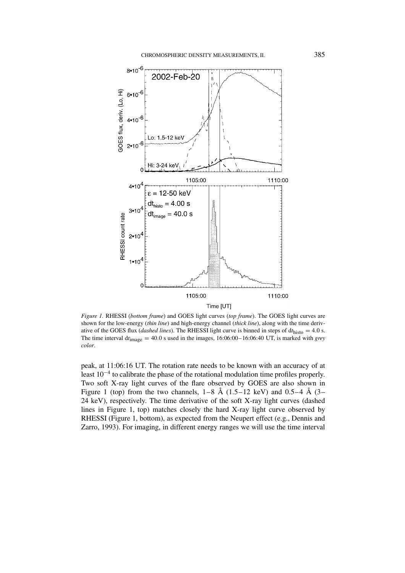

*Figure 1.* RHESSI (*bottom frame*) and GOES light curves (*top frame*). The GOES light curves are shown for the low-energy (*thin line*) and high-energy channel (*thick line*), along with the time derivative of the GOES flux (*dashed lines*). The RHESSI light curve is binned in steps of  $dt_{\text{histo}} = 4.0$  s. The time interval  $dt_{\text{image}} = 40.0$  s used in the images,  $16:06:00-16:06:40$  UT, is marked with *grey color*.

peak, at 11:06:16 UT. The rotation rate needs to be known with an accuracy of at least 10−<sup>4</sup> to calibrate the phase of the rotational modulation time profiles properly. Two soft X-ray light curves of the flare observed by GOES are also shown in Figure 1 (top) from the two channels,  $1-8$  Å ( $1.5-12$  keV) and  $0.5-4$  Å ( $3-$ 24 keV), respectively. The time derivative of the soft X-ray light curves (dashed lines in Figure 1, top) matches closely the hard X-ray light curve observed by RHESSI (Figure 1, bottom), as expected from the Neupert effect (e.g., Dennis and Zarro, 1993). For imaging, in different energy ranges we will use the time interval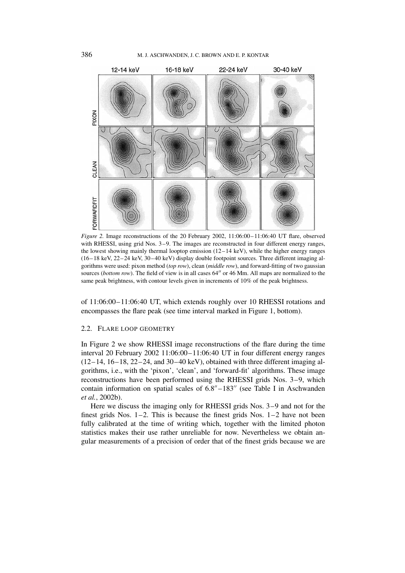

*Figure 2.* Image reconstructions of the 20 February 2002, 11:06:00–11:06:40 UT flare, observed with RHESSI, using grid Nos. 3–9. The images are reconstructed in four different energy ranges, the lowest showing mainly thermal looptop emission  $(12-14 \text{ keV})$ , while the higher energy ranges (16–18 keV, 22–24 keV, 30–40 keV) display double footpoint sources. Three different imaging algorithms were used: pixon method (*top row*), clean (*middle row*), and forward-fitting of two gaussian sources (*bottom row*). The field of view is in all cases 64" or 46 Mm. All maps are normalized to the same peak brightness, with contour levels given in increments of 10% of the peak brightness.

of 11:06:00–11:06:40 UT, which extends roughly over 10 RHESSI rotations and encompasses the flare peak (see time interval marked in Figure 1, bottom).

#### 2.2. FLARE LOOP GEOMETRY

In Figure 2 we show RHESSI image reconstructions of the flare during the time interval 20 February 2002 11:06:00–11:06:40 UT in four different energy ranges  $(12-14, 16-18, 22-24,$  and  $30-40 \text{ keV})$ , obtained with three different imaging algorithms, i.e., with the 'pixon', 'clean', and 'forward-fit' algorithms. These image reconstructions have been performed using the RHESSI grids Nos. 3–9, which contain information on spatial scales of  $6.8'' - 183''$  (see Table I in Aschwanden *et al.*, 2002b).

Here we discuss the imaging only for RHESSI grids Nos. 3–9 and not for the finest grids Nos. 1–2. This is because the finest grids Nos. 1–2 have not been fully calibrated at the time of writing which, together with the limited photon statistics makes their use rather unreliable for now. Nevertheless we obtain angular measurements of a precision of order that of the finest grids because we are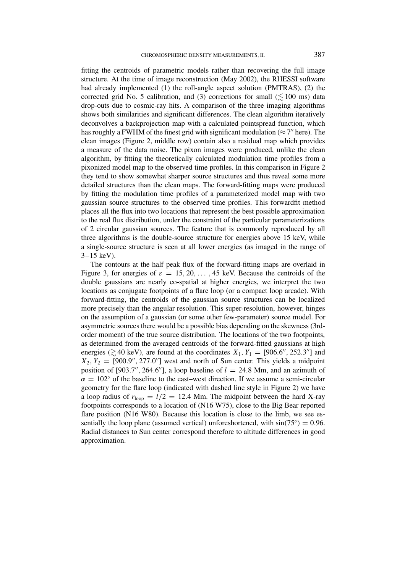fitting the centroids of parametric models rather than recovering the full image structure. At the time of image reconstruction (May 2002), the RHESSI software had already implemented (1) the roll-angle aspect solution (PMTRAS), (2) the corrected grid No. 5 calibration, and (3) corrections for small ( $\leq 100$  ms) data drop-outs due to cosmic-ray hits. A comparison of the three imaging algorithms shows both similarities and significant differences. The clean algorithm iteratively deconvolves a backprojection map with a calculated pointspread function, which has roughly a FWHM of the finest grid with significant modulation ( $\approx$  7" here). The clean images (Figure 2, middle row) contain also a residual map which provides a measure of the data noise. The pixon images were produced, unlike the clean algorithm, by fitting the theoretically calculated modulation time profiles from a pixonized model map to the observed time profiles. In this comparison in Figure 2 they tend to show somewhat sharper source structures and thus reveal some more detailed structures than the clean maps. The forward-fitting maps were produced by fitting the modulation time profiles of a parameterized model map with two gaussian source structures to the observed time profiles. This forwardfit method places all the flux into two locations that represent the best possible approximation to the real flux distribution, under the constraint of the particular parameterizations of 2 circular gaussian sources. The feature that is commonly reproduced by all three algorithms is the double-source structure for energies above 15 keV, while a single-source structure is seen at all lower energies (as imaged in the range of  $3-15$  keV).

The contours at the half peak flux of the forward-fitting maps are overlaid in Figure 3, for energies of  $\varepsilon = 15, 20, \ldots, 45$  keV. Because the centroids of the double gaussians are nearly co-spatial at higher energies, we interpret the two locations as conjugate footpoints of a flare loop (or a compact loop arcade). With forward-fitting, the centroids of the gaussian source structures can be localized more precisely than the angular resolution. This super-resolution, however, hinges on the assumption of a gaussian (or some other few-parameter) source model. For asymmetric sources there would be a possible bias depending on the skewness (3rdorder moment) of the true source distribution. The locations of the two footpoints, as determined from the averaged centroids of the forward-fitted gaussians at high energies ( $\gtrsim$  40 keV), are found at the coordinates  $X_1, Y_1 = [906.6'', 252.3'']$  and  $X_2, Y_2 = [900.9'', 277.0'']$  west and north of Sun center. This yields a midpoint position of [903*.7''*, 264*.6''*], a loop baseline of  $l = 24.8$  Mm, and an azimuth of  $\alpha = 102^{\circ}$  of the baseline to the east–west direction. If we assume a semi-circular geometry for the flare loop (indicated with dashed line style in Figure 2) we have a loop radius of  $r_{\text{loop}} = l/2 = 12.4$  Mm. The midpoint between the hard X-ray footpoints corresponds to a location of (N16 W75), close to the Big Bear reported flare position (N16 W80). Because this location is close to the limb, we see essentially the loop plane (assumed vertical) unforeshortened, with  $sin(75°) = 0.96$ . Radial distances to Sun center correspond therefore to altitude differences in good approximation.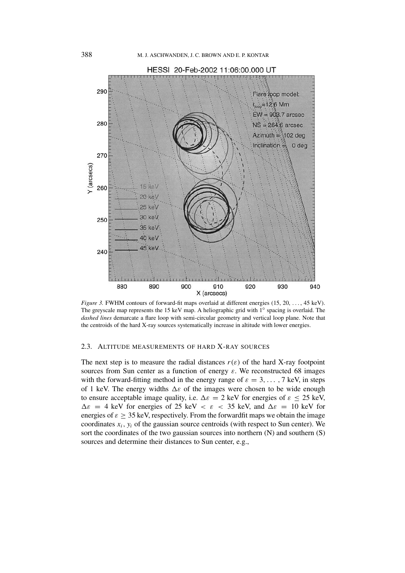

*Figure 3.* FWHM contours of forward-fit maps overlaid at different energies (15, 20, *...* , 45 keV). The greyscale map represents the 15 keV map. A heliographic grid with 1◦ spacing is overlaid. The *dashed lines* demarcate a flare loop with semi-circular geometry and vertical loop plane. Note that the centroids of the hard X-ray sources systematically increase in altitude with lower energies.

## 2.3. ALTITUDE MEASUREMENTS OF HARD X-RAY SOURCES

The next step is to measure the radial distances  $r(\varepsilon)$  of the hard X-ray footpoint sources from Sun center as a function of energy  $\varepsilon$ . We reconstructed 68 images with the forward-fitting method in the energy range of  $\varepsilon = 3, \ldots, 7$  keV, in steps of 1 keV. The energy widths  $\Delta \varepsilon$  of the images were chosen to be wide enough to ensure acceptable image quality, i.e.  $\Delta \varepsilon = 2$  keV for energies of  $\varepsilon \le 25$  keV,  $\Delta \varepsilon = 4$  keV for energies of 25 keV  $\langle \varepsilon \rangle$   $\langle \varepsilon \rangle$  and  $\Delta \varepsilon = 10$  keV for energies of  $\varepsilon \geq 35$  keV, respectively. From the forward fit maps we obtain the image coordinates  $x_i$ ,  $y_i$  of the gaussian source centroids (with respect to Sun center). We sort the coordinates of the two gaussian sources into northern (N) and southern (S) sources and determine their distances to Sun center, e.g.,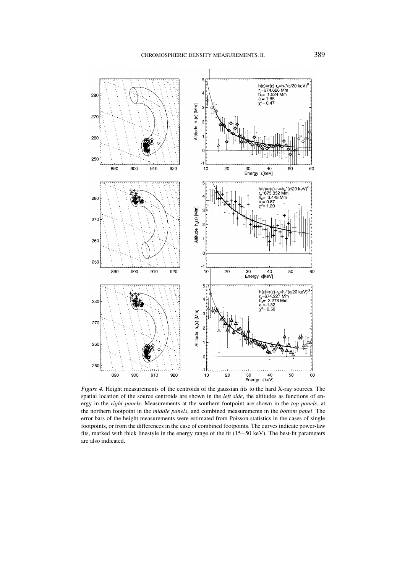

*Figure 4.* Height measurements of the centroids of the gaussian fits to the hard X-ray sources. The spatial location of the source centroids are shown in the *left side*, the altitudes as functions of energy in the *right panels*. Measurements at the southern footpoint are shown in the *top panels*, at the northern footpoint in the *middle panels*, and combined measurements in the *bottom panel*. The error bars of the height measurements were estimated from Poisson statistics in the cases of single footpoints, or from the differences in the case of combined footpoints. The curves indicate power-law fits, marked with thick linestyle in the energy range of the fit (15–50 keV). The best-fit parameters are also indicated.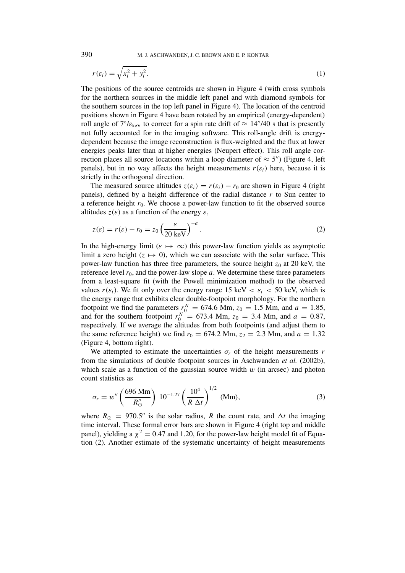390 M. J. ASCHWANDEN, J. C. BROWN AND E. P. KONTAR

$$
r(\varepsilon_i) = \sqrt{x_i^2 + y_i^2}.\tag{1}
$$

The positions of the source centroids are shown in Figure 4 (with cross symbols for the northern sources in the middle left panel and with diamond symbols for the southern sources in the top left panel in Figure 4). The location of the centroid positions shown in Figure 4 have been rotated by an empirical (energy-dependent) roll angle of  $7°/\varepsilon_{\text{keV}}$  to correct for a spin rate drift of  $\approx 14''/40$  s that is presently not fully accounted for in the imaging software. This roll-angle drift is energydependent because the image reconstruction is flux-weighted and the flux at lower energies peaks later than at higher energies (Neupert effect). This roll angle correction places all source locations within a loop diameter of  $\approx 5$ ") (Figure 4, left panels), but in no way affects the height measurements  $r(\varepsilon_i)$  here, because it is strictly in the orthogonal direction.

The measured source altitudes  $z(\varepsilon_i) = r(\varepsilon_i) - r_0$  are shown in Figure 4 (right panels), defined by a height difference of the radial distance  $r$  to Sun center to a reference height  $r_0$ . We choose a power-law function to fit the observed source altitudes  $z(\varepsilon)$  as a function of the energy  $\varepsilon$ ,

$$
z(\varepsilon) = r(\varepsilon) - r_0 = z_0 \left(\frac{\varepsilon}{20 \text{ keV}}\right)^{-a}.
$$
 (2)

In the high-energy limit ( $\varepsilon \mapsto \infty$ ) this power-law function yields as asymptotic limit a zero height  $(z \mapsto 0)$ , which we can associate with the solar surface. This power-law function has three free parameters, the source height *z*<sup>0</sup> at 20 keV, the reference level  $r_0$ , and the power-law slope  $a$ . We determine these three parameters from a least-square fit (with the Powell minimization method) to the observed values  $r(\varepsilon_i)$ . We fit only over the energy range 15 keV  $\langle \varepsilon_i \rangle$   $\langle \varepsilon_i \rangle$   $\langle \varepsilon_i \rangle$  which is the energy range that exhibits clear double-footpoint morphology. For the northern footpoint we find the parameters  $r_0^N = 674.6$  Mm,  $z_0 = 1.5$  Mm, and  $a = 1.85$ , and for the southern footpoint  $r_0^N = 673.4$  Mm,  $z_0 = 3.4$  Mm, and  $a = 0.87$ , respectively. If we average the altitudes from both footpoints (and adjust them to the same reference height) we find  $r_0 = 674.2$  Mm,  $z_2 = 2.3$  Mm, and  $a = 1.32$ (Figure 4, bottom right).

We attempted to estimate the uncertainties  $\sigma_r$  of the height measurements  $r$ from the simulations of double footpoint sources in Aschwanden *et al.* (2002b), which scale as a function of the gaussian source width *w* (in arcsec) and photon count statistics as

$$
\sigma_r = w'' \left( \frac{696 \text{ Mm}}{R''_{\odot}} \right) 10^{-1.27} \left( \frac{10^4}{R \Delta t} \right)^{1/2} \text{ (Mm)},\tag{3}
$$

where  $R_{\odot} = 970.5$ " is the solar radius, R the count rate, and  $\Delta t$  the imaging time interval. These formal error bars are shown in Figure 4 (right top and middle panel), yielding a  $\chi^2 = 0.47$  and 1.20, for the power-law height model fit of Equation (2). Another estimate of the systematic uncertainty of height measurements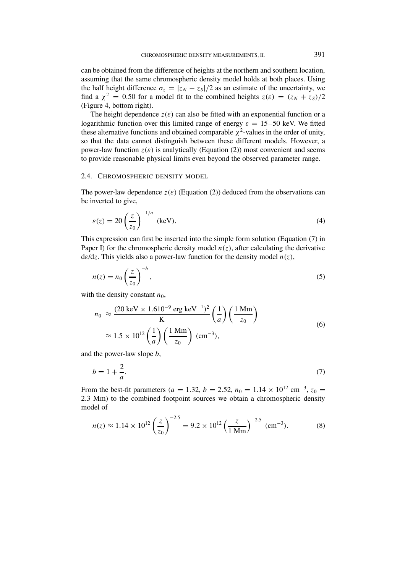can be obtained from the difference of heights at the northern and southern location, assuming that the same chromospheric density model holds at both places. Using the half height difference  $\sigma_z = |z_N - z_S|/2$  as an estimate of the uncertainty, we find a  $\chi^2 = 0.50$  for a model fit to the combined heights  $z(\varepsilon) = (z_N + z_S)/2$ (Figure 4, bottom right).

The height dependence  $z(\varepsilon)$  can also be fitted with an exponential function or a logarithmic function over this limited range of energy  $\varepsilon = 15-50$  keV. We fitted these alternative functions and obtained comparable  $\chi^2$ -values in the order of unity, so that the data cannot distinguish between these different models. However, a power-law function  $z(\varepsilon)$  is analytically (Equation (2)) most convenient and seems to provide reasonable physical limits even beyond the observed parameter range.

## 2.4. CHROMOSPHERIC DENSITY MODEL

The power-law dependence  $z(\varepsilon)$  (Equation (2)) deduced from the observations can be inverted to give,

$$
\varepsilon(z) = 20 \left(\frac{z}{z_0}\right)^{-1/a} \text{ (keV)}.
$$
 (4)

This expression can first be inserted into the simple form solution (Equation (7) in Paper I) for the chromospheric density model  $n(z)$ , after calculating the derivative d*ε*/d*z*. This yields also a power-law function for the density model *n(z)*,

$$
n(z) = n_0 \left(\frac{z}{z_0}\right)^{-b},\tag{5}
$$

with the density constant  $n_0$ ,

$$
n_0 \approx \frac{(20 \text{ keV} \times 1.610^{-9} \text{ erg keV}^{-1})^2}{K} \left(\frac{1}{a}\right) \left(\frac{1 \text{ Mm}}{z_0}\right)
$$
  
 
$$
\approx 1.5 \times 10^{12} \left(\frac{1}{a}\right) \left(\frac{1 \text{ Mm}}{z_0}\right) \text{ (cm}^{-3}),
$$
 (6)

and the power-law slope *b*,

$$
b = 1 + \frac{2}{a}.\tag{7}
$$

From the best-fit parameters (*a* = 1.32, *b* = 2.52,  $n_0$  = 1.14 × 10<sup>12</sup> cm<sup>-3</sup>,  $z_0$  = 2*.*3 Mm) to the combined footpoint sources we obtain a chromospheric density model of

$$
n(z) \approx 1.14 \times 10^{12} \left(\frac{z}{z_0}\right)^{-2.5} = 9.2 \times 10^{12} \left(\frac{z}{1 \text{ Mm}}\right)^{-2.5} \text{ (cm}^{-3}). \tag{8}
$$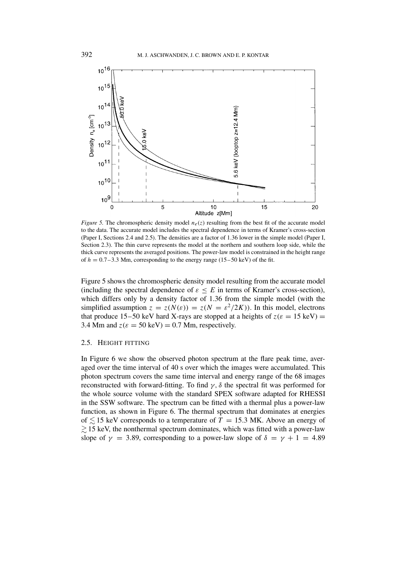

*Figure 5.* The chromospheric density model  $n_e(z)$  resulting from the best fit of the accurate model to the data. The accurate model includes the spectral dependence in terms of Kramer's cross-section (Paper I, Sections 2.4 and 2.5). The densities are a factor of 1.36 lower in the simple model (Paper I, Section 2.3). The thin curve represents the model at the northern and southern loop side, while the thick curve represents the averaged positions. The power-law model is constrained in the height range of  $h = 0.7-3.3$  Mm, corresponding to the energy range (15–50 keV) of the fit.

Figure 5 shows the chromospheric density model resulting from the accurate model (including the spectral dependence of  $\varepsilon \leq E$  in terms of Kramer's cross-section), which differs only by a density factor of 1.36 from the simple model (with the simplified assumption  $z = z(N(\varepsilon)) = z(N = \varepsilon^2/2K)$ ). In this model, electrons that produce 15–50 keV hard X-rays are stopped at a heights of  $z(\epsilon = 15 \text{ keV}) =$ 3.4 Mm and  $z(\epsilon = 50 \text{ keV}) = 0.7 \text{ Mm}$ , respectively.

### 2.5. HEIGHT FITTING

In Figure 6 we show the observed photon spectrum at the flare peak time, averaged over the time interval of 40 s over which the images were accumulated. This photon spectrum covers the same time interval and energy range of the 68 images reconstructed with forward-fitting. To find  $\gamma$ ,  $\delta$  the spectral fit was performed for the whole source volume with the standard SPEX software adapted for RHESSI in the SSW software. The spectrum can be fitted with a thermal plus a power-law function, as shown in Figure 6. The thermal spectrum that dominates at energies of  $\leq 15$  keV corresponds to a temperature of  $T = 15.3$  MK. Above an energy of  $\gtrsim$  15 keV, the nonthermal spectrum dominates, which was fitted with a power-law slope of  $\gamma = 3.89$ , corresponding to a power-law slope of  $\delta = \gamma + 1 = 4.89$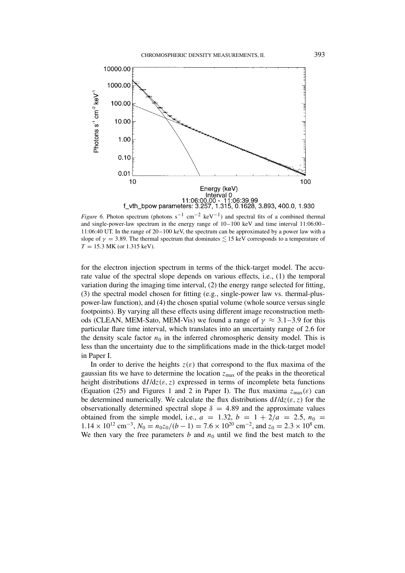

*Figure 6.* Photon spectrum (photons s<sup>-1</sup> cm<sup>-2</sup> keV<sup>-1</sup>) and spectral fits of a combined thermal and single-power-law spectrum in the energy range of 10–100 keV and time interval 11:06:00– 11:06:40 UT. In the range of 20–100 keV, the spectrum can be approximated by a power law with a slope of  $\gamma = 3.89$ . The thermal spectrum that dominates  $\leq 15$  keV corresponds to a temperature of *T* = 15*.*3 MK (or 1.315 keV).

for the electron injection spectrum in terms of the thick-target model. The accurate value of the spectral slope depends on various effects, i.e., (1) the temporal variation during the imaging time interval, (2) the energy range selected for fitting, (3) the spectral model chosen for fitting (e.g., single-power law vs. thermal-pluspower-law function), and (4) the chosen spatial volume (whole source versus single footpoints). By varying all these effects using different image reconstruction methods (CLEAN, MEM-Sato, MEM-Vis) we found a range of  $\gamma \approx 3.1 - 3.9$  for this particular flare time interval, which translates into an uncertainty range of 2.6 for the density scale factor  $n_0$  in the inferred chromospheric density model. This is less than the uncertainty due to the simplifications made in the thick-target model in Paper I.

In order to derive the heights  $z(\varepsilon)$  that correspond to the flux maxima of the gaussian fits we have to determine the location  $z_{\text{max}}$  of the peaks in the theoretical height distributions  $dI/dz(\varepsilon, z)$  expressed in terms of incomplete beta functions (Equation (25) and Figures 1 and 2 in Paper I). The flux maxima  $z_{\text{max}}(\varepsilon)$  can be determined numerically. We calculate the flux distributions  $dI/dz(\varepsilon, z)$  for the observationally determined spectral slope  $\delta = 4.89$  and the approximate values obtained from the simple model, i.e.,  $a = 1.32$ ,  $b = 1 + 2/a = 2.5$ ,  $n_0 =$  $1.14 \times 10^{12}$  cm<sup>-3</sup>,  $N_0 = n_0 z_0 / (b - 1) = 7.6 \times 10^{20}$  cm<sup>-2</sup>, and  $z_0 = 2.3 \times 10^8$  cm. We then vary the free parameters  $b$  and  $n_0$  until we find the best match to the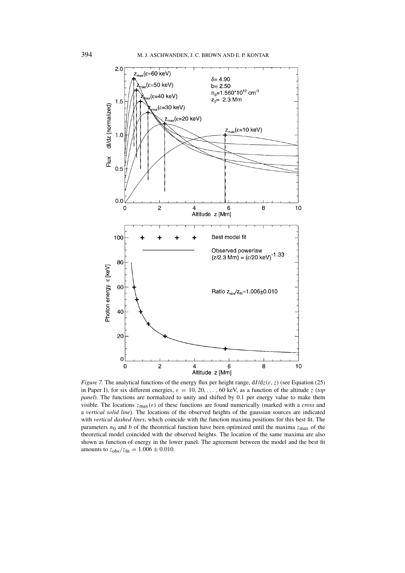

*Figure 7.* The analytical functions of the energy flux per height range, d*I* /d*z(ε, z)* (see Equation (25) in Paper I), for six different energies,  $\varepsilon = 10, 20, \ldots, 60$  keV, as a function of the altitude *z* (*top panel*). The functions are normalized to unity and shifted by 0.1 per energy value to make them visible. The locations *z*max*(ε)* of these functions are found numerically (marked with a *cross* and a *vertical solid line*). The locations of the observed heights of the gaussian sources are indicated with *vertical dashed lines*, which coincide with the function maxima positions for this best fit. The parameters  $n_0$  and *b* of the theoretical function have been optimized until the maxima  $z_{\text{max}}$  of the theoretical model coincided with the observed heights. The location of the same maxima are also shown as function of energy in the lower panel. The agreement between the model and the best fit amounts to  $z_{\text{obs}}/z_{\text{fit}} = 1.006 \pm 0.010$ .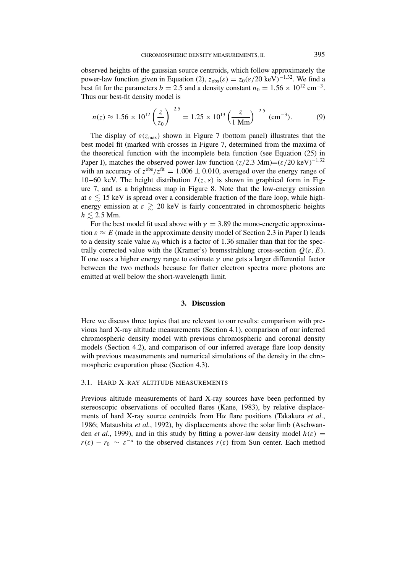observed heights of the gaussian source centroids, which follow approximately the power-law function given in Equation (2),  $z_{obs}(\varepsilon) = z_0(\varepsilon/20 \text{ keV})^{-1.32}$ . We find a best fit for the parameters *b* = 2.5 and a density constant  $n_0 = 1.56 \times 10^{12}$  cm<sup>-3</sup>. Thus our best-fit density model is

$$
n(z) \approx 1.56 \times 10^{12} \left(\frac{z}{z_0}\right)^{-2.5} = 1.25 \times 10^{13} \left(\frac{z}{1 \text{ Mm}}\right)^{-2.5} \text{ (cm}^{-3}).\tag{9}
$$

The display of  $\varepsilon(z_{\text{max}})$  shown in Figure 7 (bottom panel) illustrates that the best model fit (marked with crosses in Figure 7, determined from the maxima of the theoretical function with the incomplete beta function (see Equation (25) in Paper I), matches the observed power-law function  $(z/2.3 \text{ Mm}) = (z/20 \text{ keV})^{-1.32}$ with an accuracy of  $z^{obs}/z^{fit} = 1.006 \pm 0.010$ , averaged over the energy range of 10–60 keV. The height distribution  $I(z, \varepsilon)$  is shown in graphical form in Figure 7, and as a brightness map in Figure 8. Note that the low-energy emission at  $\varepsilon \lesssim 15$  keV is spread over a considerable fraction of the flare loop, while highenergy emission at  $\varepsilon \gtrsim 20$  keV is fairly concentrated in chromospheric heights  $h \leq 2.5$  Mm.

For the best model fit used above with  $\gamma = 3.89$  the mono-energetic approximation  $\varepsilon \approx E$  (made in the approximate density model of Section 2.3 in Paper I) leads to a density scale value  $n_0$  which is a factor of 1.36 smaller than that for the spectrally corrected value with the (Kramer's) bremsstrahlung cross-section  $Q(\varepsilon, E)$ . If one uses a higher energy range to estimate *γ* one gets a larger differential factor between the two methods because for flatter electron spectra more photons are emitted at well below the short-wavelength limit.

### **3. Discussion**

Here we discuss three topics that are relevant to our results: comparison with previous hard X-ray altitude measurements (Section 4.1), comparison of our inferred chromospheric density model with previous chromospheric and coronal density models (Section 4.2), and comparison of our inferred average flare loop density with previous measurements and numerical simulations of the density in the chromospheric evaporation phase (Section 4.3).

## 3.1. HARD X-RAY ALTITUDE MEASUREMENTS

Previous altitude measurements of hard X-ray sources have been performed by stereoscopic observations of occulted flares (Kane, 1983), by relative displacements of hard X-ray source centroids from H*α* flare positions (Takakura *et al.*, 1986; Matsushita *et al.*, 1992), by displacements above the solar limb (Aschwanden *et al.*, 1999), and in this study by fitting a power-law density model  $h(\varepsilon)$  =  $r(\varepsilon) - r_0 \sim \varepsilon^{-a}$  to the observed distances  $r(\varepsilon)$  from Sun center. Each method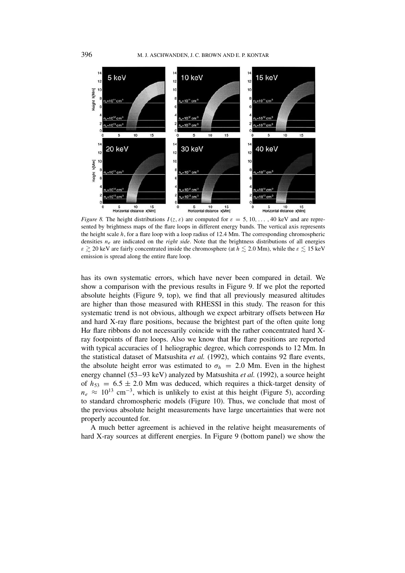

*Figure 8.* The height distributions  $I(z, \varepsilon)$  are computed for  $\varepsilon = 5, 10, \ldots, 40$  keV and are represented by brightness maps of the flare loops in different energy bands. The vertical axis represents the height scale *h*, for a flare loop with a loop radius of 12.4 Mm. The corresponding chromospheric densities *ne* are indicated on the *right side*. Note that the brightness distributions of all energies *ε*  $\gtrsim$  20 keV are fairly concentrated inside the chromosphere (at *h*  $\lesssim$  2.0 Mm), while the *ε*  $\lesssim$  15 keV emission is spread along the entire flare loop.

has its own systematic errors, which have never been compared in detail. We show a comparison with the previous results in Figure 9. If we plot the reported absolute heights (Figure 9, top), we find that all previously measured altitudes are higher than those measured with RHESSI in this study. The reason for this systematic trend is not obvious, although we expect arbitrary offsets between H*α* and hard X-ray flare positions, because the brightest part of the often quite long H*α* flare ribbons do not necessarily coincide with the rather concentrated hard Xray footpoints of flare loops. Also we know that H*α* flare positions are reported with typical accuracies of 1 heliographic degree, which corresponds to 12 Mm. In the statistical dataset of Matsushita *et al.* (1992), which contains 92 flare events, the absolute height error was estimated to  $\sigma_h = 2.0$  Mm. Even in the highest energy channel (53–93 keV) analyzed by Matsushita *et al.* (1992), a source height of  $h_{53} = 6.5 \pm 2.0$  Mm was deduced, which requires a thick-target density of  $n_e \approx 10^{13}$  cm<sup>-3</sup>, which is unlikely to exist at this height (Figure 5), according to standard chromospheric models (Figure 10). Thus, we conclude that most of the previous absolute height measurements have large uncertainties that were not properly accounted for.

A much better agreement is achieved in the relative height measurements of hard X-ray sources at different energies. In Figure 9 (bottom panel) we show the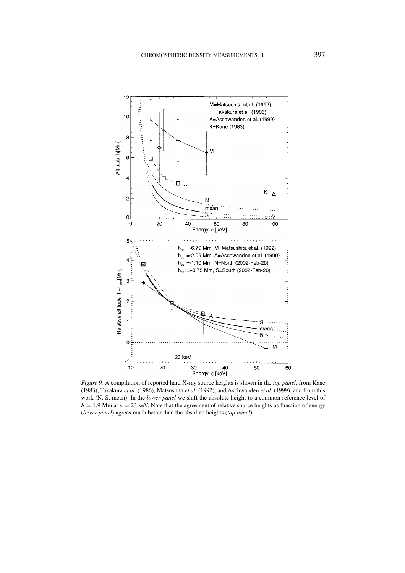

*Figure 9.* A compilation of reported hard X-ray source heights is shown in the *top panel*, from Kane (1983), Takakura *et al.* (1986), Matsushita *et al.* (1992), and Aschwanden *et al.* (1999), and from this work (N, S, mean). In the *lower panel* we shift the absolute height to a common reference level of  $h = 1.9$  Mm at  $\varepsilon = 23$  keV. Note that the agreement of relative source heights as function of energy (*lower panel*) agrees much better than the absolute heights (*top panel*).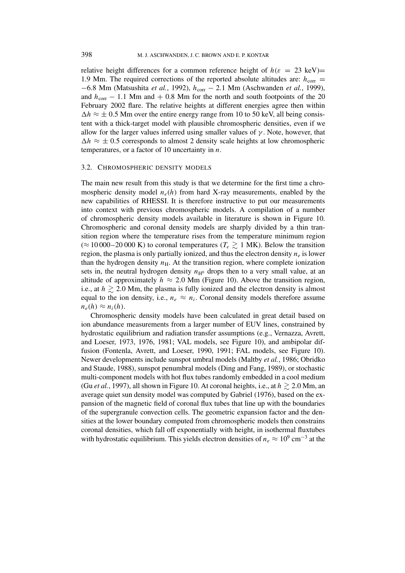relative height differences for a common reference height of  $h(\varepsilon = 23 \text{ keV})$ 1.9 Mm. The required corrections of the reported absolute altitudes are:  $h_{corr}$  = −6*.*8 Mm (Matsushita *et al.*, 1992), *h*corr − 2*.*1 Mm (Aschwanden *et al.*, 1999), and  $h_{\text{corr}}$  − 1.1 Mm and + 0.8 Mm for the north and south footpoints of the 20 February 2002 flare. The relative heights at different energies agree then within  $\Delta h \approx \pm 0.5$  Mm over the entire energy range from 10 to 50 keV, all being consistent with a thick-target model with plausible chromospheric densities, even if we allow for the larger values inferred using smaller values of  $\gamma$ . Note, however, that  $\Delta h \approx \pm 0.5$  corresponds to almost 2 density scale heights at low chromospheric temperatures, or a factor of 10 uncertainty in *n*.

### 3.2. CHROMOSPHERIC DENSITY MODELS

The main new result from this study is that we determine for the first time a chromospheric density model  $n_e(h)$  from hard X-ray measurements, enabled by the new capabilities of RHESSI. It is therefore instructive to put our measurements into context with previous chromospheric models. A compilation of a number of chromospheric density models available in literature is shown in Figure 10. Chromospheric and coronal density models are sharply divided by a thin transition region where the temperature rises from the temperature minimum region ( $≈ 10000-20000$  K) to coronal temperatures ( $T_e ≥ 1$  MK). Below the transition region, the plasma is only partially ionized, and thus the electron density  $n_e$  is lower than the hydrogen density  $n<sub>H</sub>$ . At the transition region, where complete ionization sets in, the neutral hydrogen density  $n_{\text{H}^0}$  drops then to a very small value, at an altitude of approximately  $h \approx 2.0$  Mm (Figure 10). Above the transition region, i.e., at  $h \gtrsim 2.0$  Mm, the plasma is fully ionized and the electron density is almost equal to the ion density, i.e.,  $n_e \approx n_i$ . Coronal density models therefore assume  $n_e(h) \approx n_i(h)$ .

Chromospheric density models have been calculated in great detail based on ion abundance measurements from a larger number of EUV lines, constrained by hydrostatic equilibrium and radiation transfer assumptions (e.g., Vernazza, Avrett, and Loeser, 1973, 1976, 1981; VAL models, see Figure 10), and ambipolar diffusion (Fontenla, Avrett, and Loeser, 1990, 1991; FAL models, see Figure 10). Newer developments include sunspot umbral models (Maltby *et al.*, 1986; Obridko and Staude, 1988), sunspot penumbral models (Ding and Fang, 1989), or stochastic multi-component models with hot flux tubes randomly embedded in a cool medium (Gu *et al.*, 1997), all shown in Figure 10. At coronal heights, i.e., at  $h \gtrsim 2.0$  Mm, an average quiet sun density model was computed by Gabriel (1976), based on the expansion of the magnetic field of coronal flux tubes that line up with the boundaries of the supergranule convection cells. The geometric expansion factor and the densities at the lower boundary computed from chromospheric models then constrains coronal densities, which fall off exponentially with height, in isothermal fluxtubes with hydrostatic equilibrium. This yields electron densities of  $n_e \approx 10^9$  cm<sup>-3</sup> at the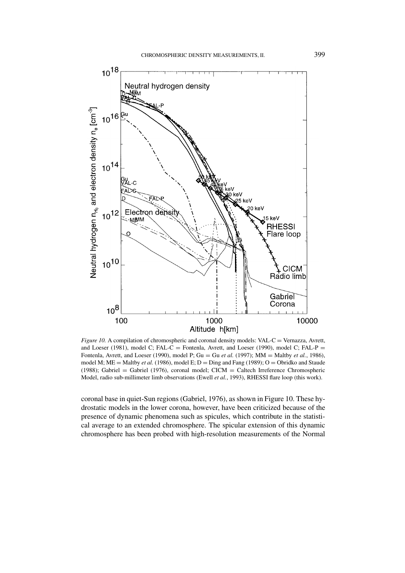

*Figure 10.* A compilation of chromospheric and coronal density models: VAL-C = Vernazza, Avrett, and Loeser (1981), model C; FAL-C = Fontenla, Avrett, and Loeser (1990), model C; FAL-P = Fontenla, Avrett, and Loeser (1990), model P; Gu = Gu *et al.* (1997); MM = Maltby *et al.*, 1986), model M; ME = Maltby *et al.* (1986), model E;  $D =$  Ding and Fang (1989);  $O =$  Obridko and Staude (1988); Gabriel = Gabriel (1976), coronal model; CICM = Caltech Irreference Chromospheric Model, radio sub-millimeter limb observations (Ewell *et al.*, 1993), RHESSI flare loop (this work).

coronal base in quiet-Sun regions (Gabriel, 1976), as shown in Figure 10. These hydrostatic models in the lower corona, however, have been criticized because of the presence of dynamic phenomena such as spicules, which contribute in the statistical average to an extended chromosphere. The spicular extension of this dynamic chromosphere has been probed with high-resolution measurements of the Normal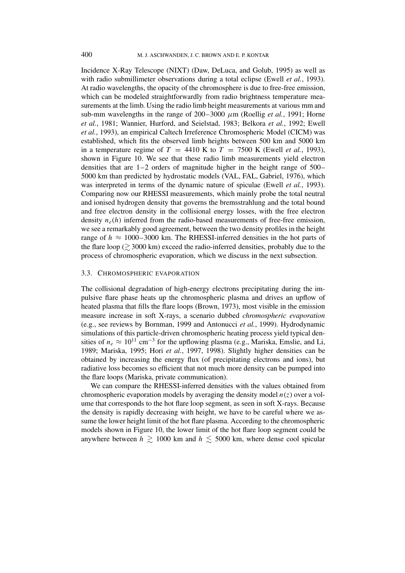Incidence X-Ray Telescope (NIXT) (Daw, DeLuca, and Golub, 1995) as well as with radio submillimeter observations during a total eclipse (Ewell *et al.*, 1993). At radio wavelengths, the opacity of the chromosphere is due to free-free emission, which can be modeled straightforwardly from radio brightness temperature measurements at the limb. Using the radio limb height measurements at various mm and sub-mm wavelengths in the range of  $200-3000 \mu m$  (Roellig *et al.*, 1991; Horne *et al.*, 1981; Wannier, Hurford, and Seielstad, 1983; Belkora *et al.*, 1992; Ewell *et al.*, 1993), an empirical Caltech Irreference Chromospheric Model (CICM) was established, which fits the observed limb heights between 500 km and 5000 km in a temperature regime of  $T = 4410$  K to  $T = 7500$  K (Ewell *et al.*, 1993), shown in Figure 10. We see that these radio limb measurements yield electron densities that are 1–2 orders of magnitude higher in the height range of 500– 5000 km than predicted by hydrostatic models (VAL, FAL, Gabriel, 1976), which was interpreted in terms of the dynamic nature of spiculae (Ewell *et al.*, 1993). Comparing now our RHESSI measurements, which mainly probe the total neutral and ionised hydrogen density that governs the bremsstrahlung and the total bound and free electron density in the collisional energy losses, with the free electron density  $n_e(h)$  inferred from the radio-based measurements of free-free emission, we see a remarkably good agreement, between the two density profiles in the height range of  $h \approx 1000-3000$  km. The RHESSI-inferred densities in the hot parts of the flare loop ( $\gtrsim$  3000 km) exceed the radio-inferred densities, probably due to the process of chromospheric evaporation, which we discuss in the next subsection.

#### 3.3. CHROMOSPHERIC EVAPORATION

The collisional degradation of high-energy electrons precipitating during the impulsive flare phase heats up the chromospheric plasma and drives an upflow of heated plasma that fills the flare loops (Brown, 1973), most visible in the emission measure increase in soft X-rays, a scenario dubbed *chromospheric evaporation* (e.g., see reviews by Bornman, 1999 and Antonucci *et al.*, 1999). Hydrodynamic simulations of this particle-driven chromospheric heating process yield typical densities of  $n_e \approx 10^{11}$  cm<sup>-3</sup> for the upflowing plasma (e.g., Mariska, Emslie, and Li, 1989; Mariska, 1995; Hori *et al.*, 1997, 1998). Slightly higher densities can be obtained by increasing the energy flux (of precipitating electrons and ions), but radiative loss becomes so efficient that not much more density can be pumped into the flare loops (Mariska, private communication).

We can compare the RHESSI-inferred densities with the values obtained from chromospheric evaporation models by averaging the density model  $n(z)$  over a volume that corresponds to the hot flare loop segment, as seen in soft X-rays. Because the density is rapidly decreasing with height, we have to be careful where we assume the lower height limit of the hot flare plasma. According to the chromospheric models shown in Figure 10, the lower limit of the hot flare loop segment could be anywhere between  $h \gtrsim 1000$  km and  $h \lesssim 5000$  km, where dense cool spicular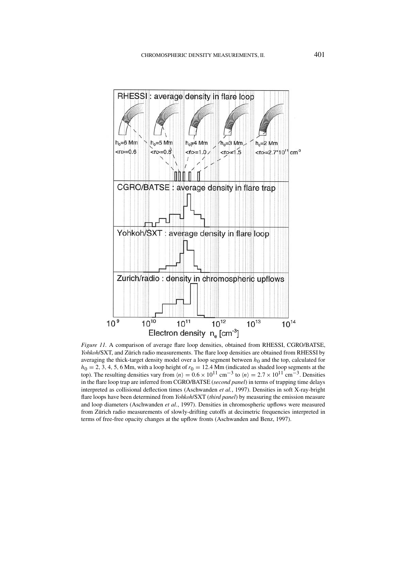

*Figure 11.* A comparison of average flare loop densities, obtained from RHESSI, CGRO/BATSE, *Yohkoh*/SXT, and Zürich radio measurements. The flare loop densities are obtained from RHESSI by averaging the thick-target density model over a loop segment between  $h_0$  and the top, calculated for  $h_0 = 2, 3, 4, 5, 6$  Mm, with a loop height of  $r_0 = 12.4$  Mm (indicated as shaded loop segments at the top). The resulting densities vary from  $\langle n \rangle = 0.6 \times 10^{11}$  cm<sup>-3</sup> to  $\langle n \rangle = 2.7 \times 10^{11}$  cm<sup>-3</sup>. Densities in the flare loop trap are inferred from CGRO/BATSE (*second panel*) in terms of trapping time delays interpreted as collisional deflection times (Aschwanden *et al.*, 1997). Densities in soft X-ray-bright flare loops have been determined from *Yohkoh*/SXT (*third panel*) by measuring the emission measure and loop diameters (Aschwanden *et al.*, 1997). Densities in chromospheric upflows were measured from Zürich radio measurements of slowly-drifting cutoffs at decimetric frequencies interpreted in terms of free-free opacity changes at the upflow fronts (Aschwanden and Benz, 1997).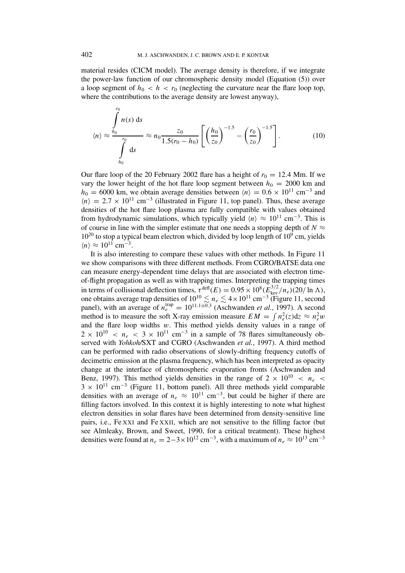material resides (CICM model). The average density is therefore, if we integrate the power-law function of our chromospheric density model (Equation (5)) over a loop segment of  $h_0 < h < r_0$  (neglecting the curvature near the flare loop top, where the contributions to the average density are lowest anyway),

$$
\langle n \rangle \approx \frac{\int_{h_0}^{r_0} n(s) \, ds}{\int_{h_0}^{r_0} ds} \approx n_0 \frac{z_0}{1.5(r_0 - h_0)} \left[ \left( \frac{h_0}{z_0} \right)^{-1.5} - \left( \frac{r_0}{z_0} \right)^{-1.5} \right]. \tag{10}
$$

Our flare loop of the 20 February 2002 flare has a height of  $r_0 = 12.4$  Mm. If we vary the lower height of the hot flare loop segment between  $h_0 = 2000$  km and  $h_0 = 6000$  km, we obtain average densities between  $\langle n \rangle = 0.6 \times 10^{11}$  cm<sup>-3</sup> and  $\langle n \rangle = 2.7 \times 10^{11}$  cm<sup>-3</sup> (illustrated in Figure 11, top panel). Thus, these average densities of the hot flare loop plasma are fully compatible with values obtained from hydrodynamic simulations, which typically yield  $\langle n \rangle \approx 10^{11}$  cm<sup>-3</sup>. This is of course in line with the simpler estimate that one needs a stopping depth of  $N \approx$  $10^{20}$  to stop a typical beam electron which, divided by loop length of  $10^{9}$  cm, yields  $\langle n \rangle \approx 10^{11}$  cm<sup>-3</sup>.

It is also interesting to compare these values with other methods. In Figure 11 we show comparisons with three different methods. From CGRO/BATSE data one can measure energy-dependent time delays that are associated with electron timeof-flight propagation as well as with trapping times. Interpreting the trapping times in terms of collisional deflection times,  $\tau^{\text{defl}}(E) = 0.95 \times 10^8 (E_{\text{kev}}^{3/2}/n_e)(20/\ln \Lambda)$ , one obtains average trap densities of  $10^{10} \le n_e \le 4 \times 10^{11}$  cm<sup>-3</sup> (Figure 11, second panel), with an average of  $n_e^{\text{trap}} = 10^{11.1 \pm 0.3}$  (Aschwanden *et al.*, 1997). A second method is to measure the soft X-ray emission measure  $EM = \int n_e^2(z) dz \approx n_e^2 w$ and the flare loop widths *w*. This method yields density values in a range of  $2 \times 10^{10} < n_e < 3 \times 10^{11}$  cm<sup>-3</sup> in a sample of 78 flares simultaneously observed with *Yohkoh/*SXT and CGRO (Aschwanden *et al.*, 1997). A third method can be performed with radio observations of slowly-drifting frequency cutoffs of decimetric emission at the plasma frequency, which has been interpreted as opacity change at the interface of chromospheric evaporation fronts (Aschwanden and Benz, 1997). This method yields densities in the range of  $2 \times 10^{10} < n_e <$  $3 \times 10^{11}$  cm<sup>-3</sup> (Figure 11, bottom panel). All three methods yield comparable densities with an average of  $n_e \approx 10^{11} \text{ cm}^{-3}$ , but could be higher if there are filling factors involved. In this context it is highly interesting to note what highest electron densities in solar flares have been determined from density-sensitive line pairs, i.e., Fe XXI and Fe XXII, which are not sensitive to the filling factor (but see Almleaky, Brown, and Sweet, 1990, for a critical treatment). These highest densities were found at  $n_e = 2-3 \times 10^{12}$  cm<sup>-3</sup>, with a maximum of  $n_e \approx 10^{13}$  cm<sup>-3</sup>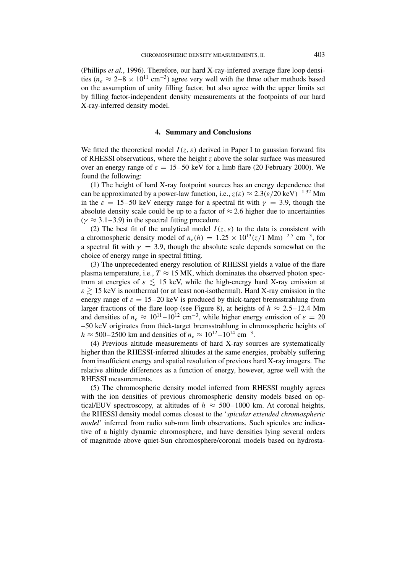(Phillips *et al.*, 1996). Therefore, our hard X-ray-inferred average flare loop densities ( $n_e \approx 2-8 \times 10^{11}$  cm<sup>-3</sup>) agree very well with the three other methods based on the assumption of unity filling factor, but also agree with the upper limits set by filling factor-independent density measurements at the footpoints of our hard X-ray-inferred density model.

### **4. Summary and Conclusions**

We fitted the theoretical model  $I(z, \varepsilon)$  derived in Paper I to gaussian forward fits of RHESSI observations, where the height *z* above the solar surface was measured over an energy range of  $\varepsilon = 15-50$  keV for a limb flare (20 February 2000). We found the following:

(1) The height of hard X-ray footpoint sources has an energy dependence that can be approximated by a power-law function, i.e.,  $z(\varepsilon) \approx 2.3(\varepsilon/20 \text{ keV})^{-1.32} \text{ Mm}$ in the  $\varepsilon = 15-50$  keV energy range for a spectral fit with  $\gamma = 3.9$ , though the absolute density scale could be up to a factor of  $\approx$  2.6 higher due to uncertainties  $(\gamma \approx 3.1 - 3.9)$  in the spectral fitting procedure.

(2) The best fit of the analytical model  $I(z, \varepsilon)$  to the data is consistent with a chromospheric density model of  $n_e(h) = 1.25 \times 10^{13} (z/1 \text{ Mm})^{-2.5} \text{ cm}^{-3}$ , for a spectral fit with  $\gamma = 3.9$ , though the absolute scale depends somewhat on the choice of energy range in spectral fitting.

(3) The unprecedented energy resolution of RHESSI yields a value of the flare plasma temperature, i.e.,  $T \approx 15$  MK, which dominates the observed photon spectrum at energies of  $\varepsilon \leq 15$  keV, while the high-energy hard X-ray emission at  $\varepsilon \gtrsim 15$  keV is nonthermal (or at least non-isothermal). Hard X-ray emission in the energy range of  $\varepsilon = 15-20$  keV is produced by thick-target bremsstrahlung from larger fractions of the flare loop (see Figure 8), at heights of  $h \approx 2.5-12.4$  Mm and densities of  $n_e \approx 10^{11} - 10^{12}$  cm<sup>-3</sup>, while higher energy emission of  $\varepsilon = 20$ –50 keV originates from thick-target bremsstrahlung in chromospheric heights of  $h \approx 500-2500$  km and densities of  $n_e \approx 10^{12}-10^{14}$  cm<sup>-3</sup>.

(4) Previous altitude measurements of hard X-ray sources are systematically higher than the RHESSI-inferred altitudes at the same energies, probably suffering from insufficient energy and spatial resolution of previous hard X-ray imagers. The relative altitude differences as a function of energy, however, agree well with the RHESSI measurements.

(5) The chromospheric density model inferred from RHESSI roughly agrees with the ion densities of previous chromospheric density models based on optical/EUV spectroscopy, at altitudes of  $h \approx 500-1000$  km. At coronal heights, the RHESSI density model comes closest to the '*spicular extended chromospheric model*' inferred from radio sub-mm limb observations. Such spicules are indicative of a highly dynamic chromosphere, and have densities lying several orders of magnitude above quiet-Sun chromosphere/coronal models based on hydrosta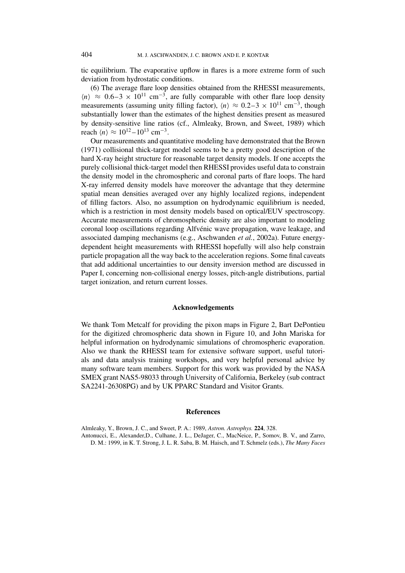tic equilibrium. The evaporative upflow in flares is a more extreme form of such deviation from hydrostatic conditions.

(6) The average flare loop densities obtained from the RHESSI measurements,  $\langle n \rangle \approx 0.6-3 \times 10^{11}$  cm<sup>-3</sup>, are fully comparable with other flare loop density measurements (assuming unity filling factor),  $\langle n \rangle \approx 0.2-3 \times 10^{11}$  cm<sup>-3</sup>, though substantially lower than the estimates of the highest densities present as measured by density-sensitive line ratios (cf., Almleaky, Brown, and Sweet, 1989) which reach  $\langle n \rangle \approx 10^{12} - 10^{13}$  cm<sup>-3</sup>.

Our measurements and quantitative modeling have demonstrated that the Brown (1971) collisional thick-target model seems to be a pretty good description of the hard X-ray height structure for reasonable target density models. If one accepts the purely collisional thick-target model then RHESSI provides useful data to constrain the density model in the chromospheric and coronal parts of flare loops. The hard X-ray inferred density models have moreover the advantage that they determine spatial mean densities averaged over any highly localized regions, independent of filling factors. Also, no assumption on hydrodynamic equilibrium is needed, which is a restriction in most density models based on optical/EUV spectroscopy. Accurate measurements of chromospheric density are also important to modeling coronal loop oscillations regarding Alfvénic wave propagation, wave leakage, and associated damping mechanisms (e.g., Aschwanden *et al.*, 2002a). Future energydependent height measurements with RHESSI hopefully will also help constrain particle propagation all the way back to the acceleration regions. Some final caveats that add additional uncertainties to our density inversion method are discussed in Paper I, concerning non-collisional energy losses, pitch-angle distributions, partial target ionization, and return current losses.

#### **Acknowledgements**

We thank Tom Metcalf for providing the pixon maps in Figure 2, Bart DePontieu for the digitized chromospheric data shown in Figure 10, and John Mariska for helpful information on hydrodynamic simulations of chromospheric evaporation. Also we thank the RHESSI team for extensive software support, useful tutorials and data analysis training workshops, and very helpful personal advice by many software team members. Support for this work was provided by the NASA SMEX grant NAS5-98033 through University of California, Berkeley (sub contract SA2241-26308PG) and by UK PPARC Standard and Visitor Grants.

#### **References**

Almleaky, Y., Brown, J. C., and Sweet, P. A.: 1989, *Astron. Astrophys.* **224**, 328. Antonucci, E., Alexander,D., Culhane, J. L., DeJager, C., MacNeice, P., Somov, B. V., and Zarro, D. M.: 1999, in K. T. Strong, J. L. R. Saba, B. M. Haisch, and T. Schmelz (eds.), *The Many Faces*